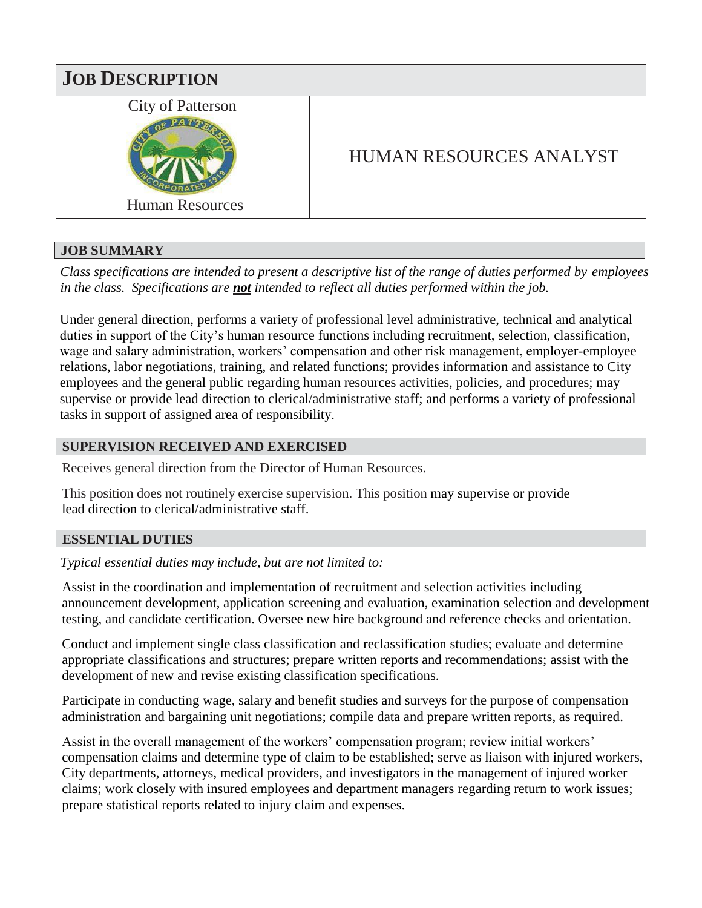

### **JOB SUMMARY**

*Class specifications are intended to present a descriptive list of the range of duties performed by employees in the class. Specifications are not intended to reflect all duties performed within the job.*

Under general direction, performs a variety of professional level administrative, technical and analytical duties in support of the City's human resource functions including recruitment, selection, classification, wage and salary administration, workers' compensation and other risk management, employer-employee relations, labor negotiations, training, and related functions; provides information and assistance to City employees and the general public regarding human resources activities, policies, and procedures; may supervise or provide lead direction to clerical/administrative staff; and performs a variety of professional tasks in support of assigned area of responsibility.

### **SUPERVISION RECEIVED AND EXERCISED**

Receives general direction from the Director of Human Resources.

This position does not routinely exercise supervision. This position may supervise or provide lead direction to clerical/administrative staff.

### **ESSENTIAL DUTIES**

*Typical essential duties may include, but are not limited to:*

Assist in the coordination and implementation of recruitment and selection activities including announcement development, application screening and evaluation, examination selection and development testing, and candidate certification. Oversee new hire background and reference checks and orientation.

Conduct and implement single class classification and reclassification studies; evaluate and determine appropriate classifications and structures; prepare written reports and recommendations; assist with the development of new and revise existing classification specifications.

Participate in conducting wage, salary and benefit studies and surveys for the purpose of compensation administration and bargaining unit negotiations; compile data and prepare written reports, as required.

Assist in the overall management of the workers' compensation program; review initial workers' compensation claims and determine type of claim to be established; serve as liaison with injured workers, City departments, attorneys, medical providers, and investigators in the management of injured worker claims; work closely with insured employees and department managers regarding return to work issues; prepare statistical reports related to injury claim and expenses.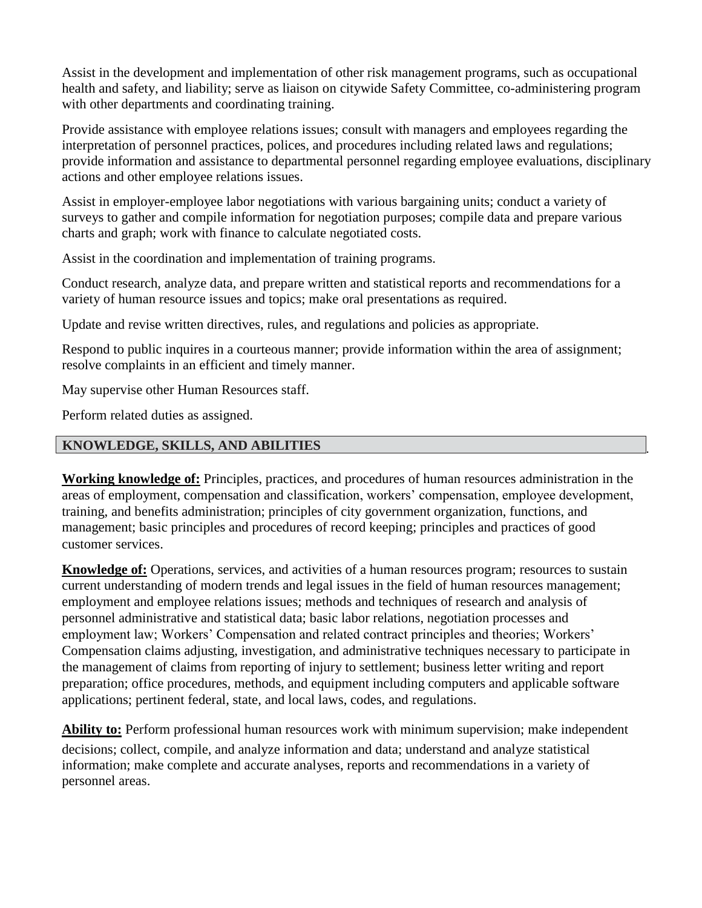Assist in the development and implementation of other risk management programs, such as occupational health and safety, and liability; serve as liaison on citywide Safety Committee, co-administering program with other departments and coordinating training.

Provide assistance with employee relations issues; consult with managers and employees regarding the interpretation of personnel practices, polices, and procedures including related laws and regulations; provide information and assistance to departmental personnel regarding employee evaluations, disciplinary actions and other employee relations issues.

Assist in employer-employee labor negotiations with various bargaining units; conduct a variety of surveys to gather and compile information for negotiation purposes; compile data and prepare various charts and graph; work with finance to calculate negotiated costs.

Assist in the coordination and implementation of training programs.

Conduct research, analyze data, and prepare written and statistical reports and recommendations for a variety of human resource issues and topics; make oral presentations as required.

Update and revise written directives, rules, and regulations and policies as appropriate.

Respond to public inquires in a courteous manner; provide information within the area of assignment; resolve complaints in an efficient and timely manner.

May supervise other Human Resources staff.

Perform related duties as assigned.

#### **KNOWLEDGE, SKILLS, AND ABILITIES**

**Working knowledge of:** Principles, practices, and procedures of human resources administration in the areas of employment, compensation and classification, workers' compensation, employee development, training, and benefits administration; principles of city government organization, functions, and management; basic principles and procedures of record keeping; principles and practices of good customer services.

.

**Knowledge of:** Operations, services, and activities of a human resources program; resources to sustain current understanding of modern trends and legal issues in the field of human resources management; employment and employee relations issues; methods and techniques of research and analysis of personnel administrative and statistical data; basic labor relations, negotiation processes and employment law; Workers' Compensation and related contract principles and theories; Workers' Compensation claims adjusting, investigation, and administrative techniques necessary to participate in the management of claims from reporting of injury to settlement; business letter writing and report preparation; office procedures, methods, and equipment including computers and applicable software applications; pertinent federal, state, and local laws, codes, and regulations.

**Ability to:** Perform professional human resources work with minimum supervision; make independent decisions; collect, compile, and analyze information and data; understand and analyze statistical information; make complete and accurate analyses, reports and recommendations in a variety of personnel areas.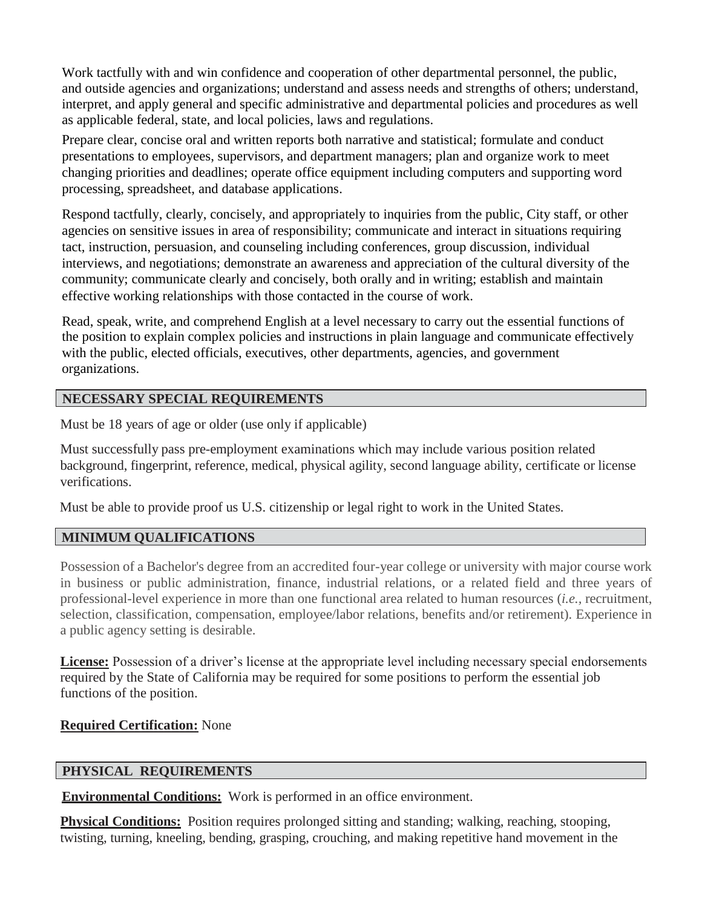Work tactfully with and win confidence and cooperation of other departmental personnel, the public, and outside agencies and organizations; understand and assess needs and strengths of others; understand, interpret, and apply general and specific administrative and departmental policies and procedures as well as applicable federal, state, and local policies, laws and regulations.

Prepare clear, concise oral and written reports both narrative and statistical; formulate and conduct presentations to employees, supervisors, and department managers; plan and organize work to meet changing priorities and deadlines; operate office equipment including computers and supporting word processing, spreadsheet, and database applications.

Respond tactfully, clearly, concisely, and appropriately to inquiries from the public, City staff, or other agencies on sensitive issues in area of responsibility; communicate and interact in situations requiring tact, instruction, persuasion, and counseling including conferences, group discussion, individual interviews, and negotiations; demonstrate an awareness and appreciation of the cultural diversity of the community; communicate clearly and concisely, both orally and in writing; establish and maintain effective working relationships with those contacted in the course of work.

Read, speak, write, and comprehend English at a level necessary to carry out the essential functions of the position to explain complex policies and instructions in plain language and communicate effectively with the public, elected officials, executives, other departments, agencies, and government organizations.

### **NECESSARY SPECIAL REQUIREMENTS**

Must be 18 years of age or older (use only if applicable)

Must successfully pass pre-employment examinations which may include various position related background, fingerprint, reference, medical, physical agility, second language ability, certificate or license verifications.

Must be able to provide proof us U.S. citizenship or legal right to work in the United States.

## **MINIMUM QUALIFICATIONS**

Possession of a Bachelor's degree from an accredited four-year college or university with major course work in business or public administration, finance, industrial relations, or a related field and three years of professional-level experience in more than one functional area related to human resources (*i.e.,* recruitment, selection, classification, compensation, employee/labor relations, benefits and/or retirement). Experience in a public agency setting is desirable.

**License:** Possession of a driver's license at the appropriate level including necessary special endorsements required by the State of California may be required for some positions to perform the essential job functions of the position.

### **Required Certification:** None

### **PHYSICAL REQUIREMENTS**

**Environmental Conditions:** Work is performed in an office environment.

**Physical Conditions:** Position requires prolonged sitting and standing; walking, reaching, stooping, twisting, turning, kneeling, bending, grasping, crouching, and making repetitive hand movement in the